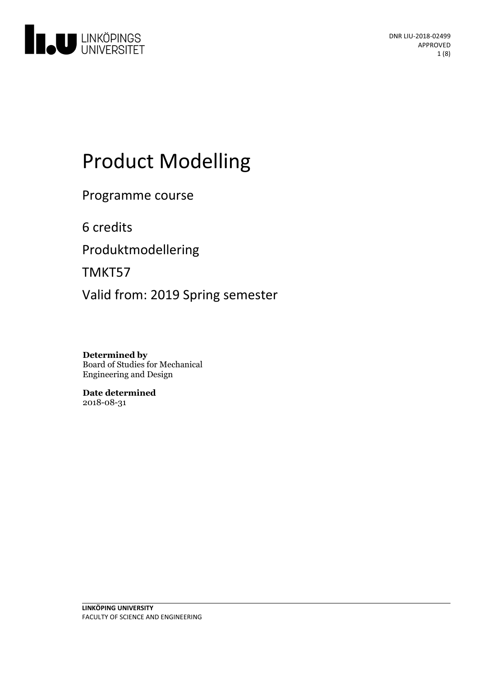

# Product Modelling

Programme course

6 credits

Produktmodellering

TMKT57

Valid from: 2019 Spring semester

**Determined by** Board of Studies for Mechanical Engineering and Design

**Date determined** 2018-08-31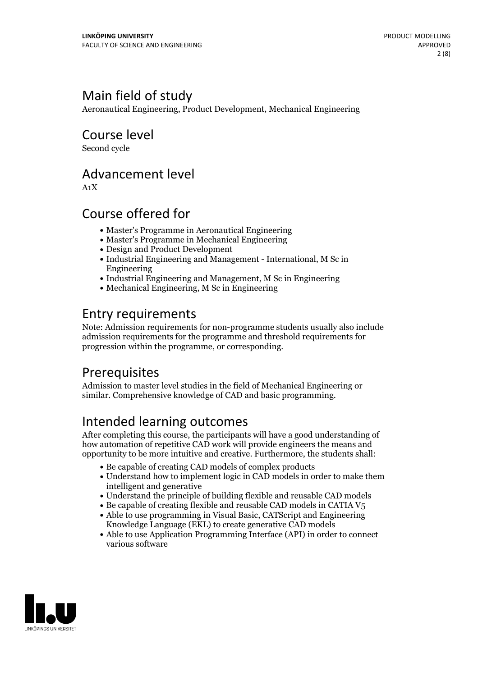# Main field of study

Aeronautical Engineering, Product Development, Mechanical Engineering

Course level

Second cycle

### Advancement level

A1X

# Course offered for

- Master's Programme in Aeronautical Engineering
- Master's Programme in Mechanical Engineering
- Design and Product Development
- Industrial Engineering and Management International, M Sc in Engineering
- Industrial Engineering and Management, M Sc in Engineering
- Mechanical Engineering, M Sc in Engineering

# Entry requirements

Note: Admission requirements for non-programme students usually also include admission requirements for the programme and threshold requirements for progression within the programme, or corresponding.

# **Prerequisites**

Admission to master level studies in the field of Mechanical Engineering or similar. Comprehensive knowledge of CAD and basic programming.

# Intended learning outcomes

After completing this course, the participants will have a good understanding of how automation of repetitive CAD work will provide engineers the means and opportunity to be more intuitive and creative. Furthermore, the students shall:

- Be capable of creating CAD models of complex products
- Understand how to implement logic in CAD models in order to make them intelligent and generative
- Understand the principle of building flexible and reusable CAD models
- $\bullet$  Be capable of creating flexible and reusable CAD models in CATIA V5
- Able to use programming in Visual Basic, CATScript and Engineering Knowledge Language (EKL) to create generative CAD models
- Able to use Application Programming Interface (API) in order to connect various software

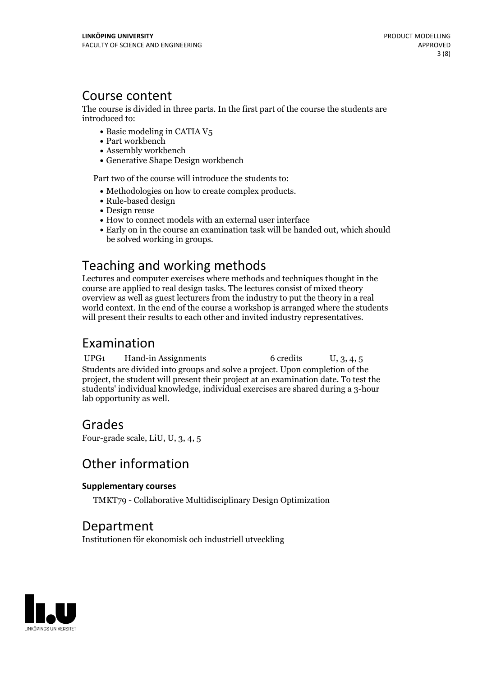### Course content

The course is divided in three parts. In the first part of the course the students are introduced to:

- Basic modeling in CATIA V5
- Part workbench
- Assembly workbench
- Generative Shape Design workbench

Part two of the course will introduce the students to:

- Methodologies on how to create complex products.<br>• Rule-based design
- 
- Design reuse
- How to connect models with an external user interface
- Early on in the course an examination task will be handed out, which should be solved working in groups.

# Teaching and working methods

Lectures and computer exercises where methods and techniques thought in the course are applied to real design tasks. The lectures consist of mixed theory overview as well as guest lecturers from the industry to put the theory in a real world context. In the end of the course a workshop is arranged where the students will present their results to each other and invited industry representatives.

# Examination

UPG1 Hand-in Assignments 6 credits U, 3, 4, 5 Students are divided into groups and solve a project. Upon completion of the project, the student will present their project at an examination date. To test the students' individual knowledge, individual exercises are shared during a 3-hour lab opportunity as well.

### Grades

Four-grade scale, LiU, U, 3, 4, 5

# Other information

#### **Supplementarycourses**

TMKT79 - Collaborative Multidisciplinary Design Optimization

### Department

Institutionen för ekonomisk och industriell utveckling

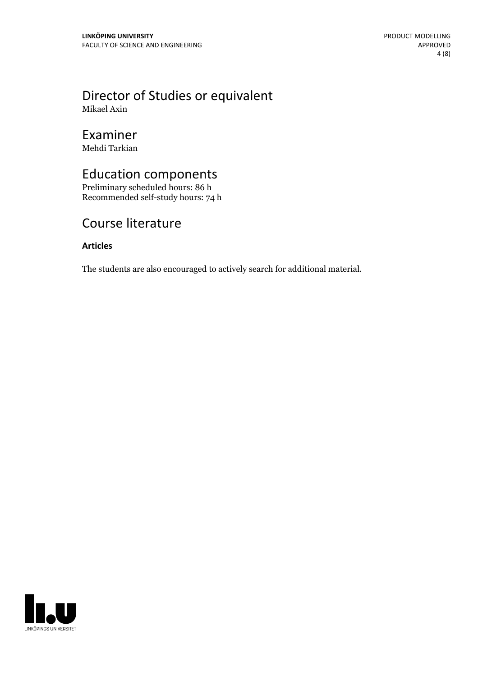### Director of Studies or equivalent Mikael Axin

Examiner

Mehdi Tarkian

# Education components

Preliminary scheduled hours: 86 h Recommended self-study hours: 74 h

# Course literature

### **Articles**

The students are also encouraged to actively search for additional material.

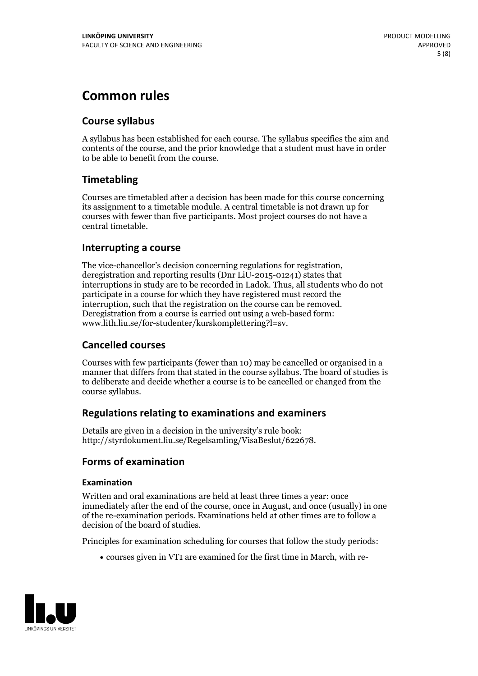# **Common rules**

### **Course syllabus**

A syllabus has been established for each course. The syllabus specifies the aim and contents of the course, and the prior knowledge that a student must have in order to be able to benefit from the course.

### **Timetabling**

Courses are timetabled after a decision has been made for this course concerning its assignment to a timetable module. A central timetable is not drawn up for courses with fewer than five participants. Most project courses do not have a central timetable.

### **Interrupting a course**

The vice-chancellor's decision concerning regulations for registration, deregistration and reporting results (Dnr LiU-2015-01241) states that interruptions in study are to be recorded in Ladok. Thus, all students who do not participate in a course for which they have registered must record the interruption, such that the registration on the course can be removed. Deregistration from <sup>a</sup> course is carried outusing <sup>a</sup> web-based form: www.lith.liu.se/for-studenter/kurskomplettering?l=sv.

### **Cancelled courses**

Courses with few participants (fewer than 10) may be cancelled or organised in a manner that differs from that stated in the course syllabus. The board of studies is to deliberate and decide whether a course is to be cancelled orchanged from the course syllabus.

### **Regulations relatingto examinations and examiners**

Details are given in a decision in the university's rule book: http://styrdokument.liu.se/Regelsamling/VisaBeslut/622678.

### **Forms of examination**

#### **Examination**

Written and oral examinations are held at least three times a year: once immediately after the end of the course, once in August, and once (usually) in one of the re-examination periods. Examinations held at other times are to follow a decision of the board of studies.

Principles for examination scheduling for courses that follow the study periods:

courses given in VT1 are examined for the first time in March, with re-

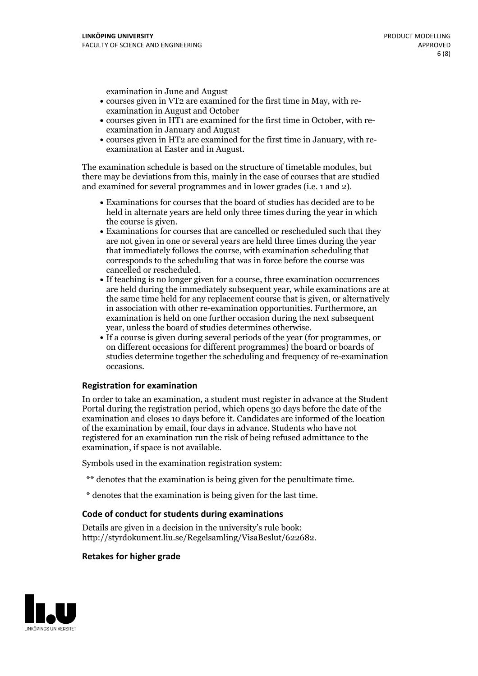examination in June and August

- courses given in VT2 are examined for the first time in May, with re-examination in August and October
- courses given in HT1 are examined for the first time in October, with re-examination in January and August
- courses given in HT2 are examined for the first time in January, with re-examination at Easter and in August.

The examination schedule is based on the structure of timetable modules, but there may be deviations from this, mainly in the case of courses that are studied and examined for several programmes and in lower grades (i.e. 1 and 2).

- Examinations for courses that the board of studies has decided are to be held in alternate years are held only three times during the year in which
- the course is given.<br>• Examinations for courses that are cancelled or rescheduled such that they are not given in one or several years are held three times during the year that immediately follows the course, with examination scheduling that corresponds to the scheduling that was in force before the course was cancelled or rescheduled.<br>• If teaching is no longer given for a course, three examination occurrences
- are held during the immediately subsequent year, while examinations are at the same time held for any replacement course that is given, or alternatively in association with other re-examination opportunities. Furthermore, an examination is held on one further occasion during the next subsequent year, unless the board of studies determines otherwise.<br>• If a course is given during several periods of the year (for programmes, or
- on different occasions for different programmes) the board orboards of studies determine together the scheduling and frequency of re-examination occasions.

#### **Registration for examination**

In order to take an examination, a student must register in advance at the Student Portal during the registration period, which opens 30 days before the date of the examination and closes 10 days before it. Candidates are informed of the location of the examination by email, four days in advance. Students who have not registered for an examination run the risk of being refused admittance to the examination, if space is not available.

Symbols used in the examination registration system:

- \*\* denotes that the examination is being given for the penultimate time.
- \* denotes that the examination is being given for the last time.

#### **Code of conduct for students during examinations**

Details are given in a decision in the university's rule book: http://styrdokument.liu.se/Regelsamling/VisaBeslut/622682.

#### **Retakes for higher grade**

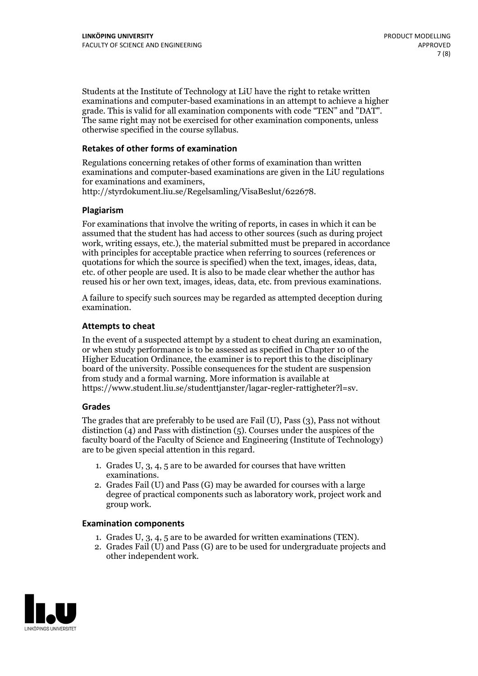Students at the Institute of Technology at LiU have the right to retake written examinations and computer-based examinations in an attempt to achieve a higher grade. This is valid for all examination components with code "TEN" and "DAT". The same right may not be exercised for other examination components, unless otherwise specified in the course syllabus.

#### **Retakes of other forms of examination**

Regulations concerning retakes of other forms of examination than written examinations and computer-based examinations are given in the LiU regulations for examinations and examiners, http://styrdokument.liu.se/Regelsamling/VisaBeslut/622678.

#### **Plagiarism**

For examinations that involve the writing of reports, in cases in which it can be assumed that the student has had access to other sources (such as during project work, writing essays, etc.), the material submitted must be prepared in accordance with principles for acceptable practice when referring to sources (references or quotations for which the source is specified) when the text, images, ideas, data, etc. of other people are used. It is also to be made clear whether the author has reused his or her own text, images, ideas, data, etc. from previous examinations.

A failure to specify such sources may be regarded as attempted deception during examination.

#### **Attempts to cheat**

In the event of <sup>a</sup> suspected attempt by <sup>a</sup> student to cheat during an examination, or when study performance is to be assessed as specified in Chapter <sup>10</sup> of the Higher Education Ordinance, the examiner is to report this to the disciplinary board of the university. Possible consequences for the student are suspension from study and a formal warning. More information is available at https://www.student.liu.se/studenttjanster/lagar-regler-rattigheter?l=sv.

#### **Grades**

The grades that are preferably to be used are Fail (U), Pass (3), Pass not without distinction  $(4)$  and Pass with distinction  $(5)$ . Courses under the auspices of the faculty board of the Faculty of Science and Engineering (Institute of Technology) are to be given special attention in this regard.

- 1. Grades U, 3, 4, 5 are to be awarded for courses that have written
- examinations. 2. Grades Fail (U) and Pass (G) may be awarded for courses with <sup>a</sup> large degree of practical components such as laboratory work, project work and group work.

#### **Examination components**

- 
- 1. Grades U, 3, 4, <sup>5</sup> are to be awarded for written examinations (TEN). 2. Grades Fail (U) and Pass (G) are to be used for undergraduate projects and other independent work.